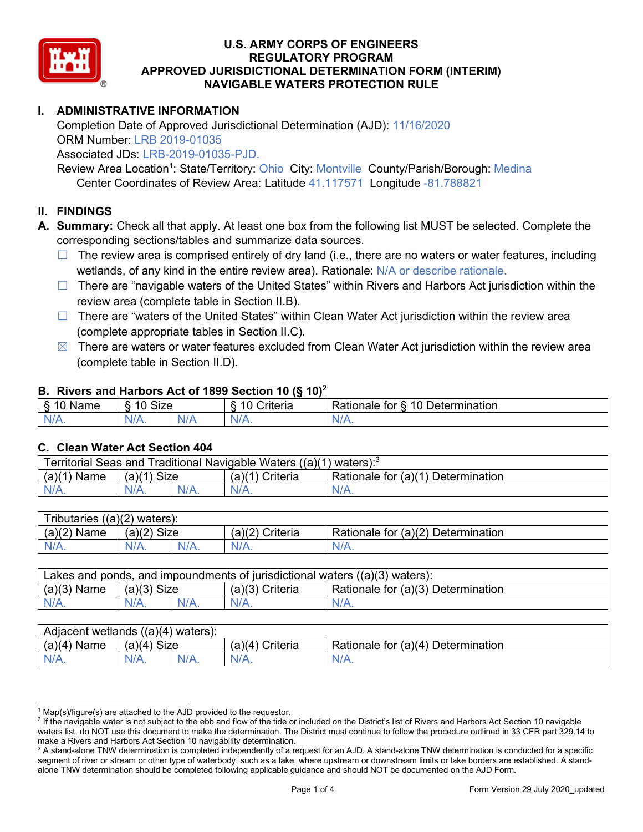

# **I. ADMINISTRATIVE INFORMATION**

Completion Date of Approved Jurisdictional Determination (AJD): 11/16/2020 ORM Number: LRB 2019-01035 Associated JDs: LRB-2019-01035-PJD.

Review Area Location<sup>1</sup>: State/Territory: Ohio City: Montville County/Parish/Borough: Medina Center Coordinates of Review Area: Latitude 41.117571 Longitude -81.788821

### **II. FINDINGS**

**A. Summary:** Check all that apply. At least one box from the following list MUST be selected. Complete the corresponding sections/tables and summarize data sources.

- $\Box$  The review area is comprised entirely of dry land (i.e., there are no waters or water features, including wetlands, of any kind in the entire review area). Rationale: N/A or describe rationale.
- $\Box$  There are "navigable waters of the United States" within Rivers and Harbors Act jurisdiction within the review area (complete table in Section II.B).
- $\Box$  There are "waters of the United States" within Clean Water Act jurisdiction within the review area (complete appropriate tables in Section II.C).
- $\boxtimes$  There are waters or water features excluded from Clean Water Act jurisdiction within the review area (complete table in Section II.D).

### **B. Rivers and Harbors Act of 1899 Section 10 (§ 10)**<sup>2</sup>

| $\cdot$                                   |                                         |     |                                         |                                                                               |  |  |  |
|-------------------------------------------|-----------------------------------------|-----|-----------------------------------------|-------------------------------------------------------------------------------|--|--|--|
| δ.<br>$\sqrt{2}$<br>.<br>vanie<br>٠J<br>- | <b>Size</b><br>$\Lambda$ $\Lambda$<br>c |     | 1 C<br>$"$ ritorio<br><b>UIL</b><br>. . | $\overline{\phantom{a}}$<br>10<br>∪etermınatıon<br>------<br>tor<br>kationale |  |  |  |
| $N/A$ .                                   | 97 A .                                  | NIA | N/L<br>17 L                             | 11 I N.                                                                       |  |  |  |

### **C. Clean Water Act Section 404**

| Territorial Seas and Traditional Navigable Waters $((a)(1)$ waters): <sup>3</sup> |                |  |                       |                                    |  |  |
|-----------------------------------------------------------------------------------|----------------|--|-----------------------|------------------------------------|--|--|
| (a)(1)<br>Name                                                                    | Size<br>(a)(1) |  | (a)(1<br>(1) Criteria | Rationale for (a)(1) Determination |  |  |
|                                                                                   | $N/A$ .        |  | $N/A$ .               | $N/A$ .                            |  |  |

| $((a)(2)$ waters):<br><b>ributaries</b> |                |         |                    |                                    |  |  |
|-----------------------------------------|----------------|---------|--------------------|------------------------------------|--|--|
| (a)(2)<br>Name                          | Size<br>(a)(2) |         | (a)(2)<br>Criteria | Rationale for (a)(2) Determination |  |  |
| $N/A$ .                                 | $N/A$ .        | $N/A$ . | $N/A$ .            | N/A.                               |  |  |

| Lakes and ponds, and impoundments of jurisdictional waters $((a)(3)$ waters): |               |  |                   |                                    |  |  |
|-------------------------------------------------------------------------------|---------------|--|-------------------|------------------------------------|--|--|
| $(a)(3)$ Name                                                                 | $(a)(3)$ Size |  | $(a)(3)$ Criteria | Rationale for (a)(3) Determination |  |  |
| $N/A$ .                                                                       | $N/A$ .       |  | $N/A$ .           | $N/A$ .                            |  |  |

| Adjacent<br>((a)(4)<br>) waters):<br>wetlands |                       |         |                   |                                                             |  |  |  |
|-----------------------------------------------|-----------------------|---------|-------------------|-------------------------------------------------------------|--|--|--|
| (a)(4)<br>Name                                | (a)(4)<br><b>Size</b> |         | (a)(4<br>Criteria | _r (a)(4 <sup>)</sup> ⊓ں.<br>Rationale for<br>Determination |  |  |  |
| N/A.                                          | $N/A$ .               | $N/A$ . | $N/A$ .           | $N/A$ .                                                     |  |  |  |

 $1$  Map(s)/figure(s) are attached to the AJD provided to the requestor.

<sup>&</sup>lt;sup>2</sup> If the navigable water is not subject to the ebb and flow of the tide or included on the District's list of Rivers and Harbors Act Section 10 navigable waters list, do NOT use this document to make the determination. The District must continue to follow the procedure outlined in 33 CFR part 329.14 to make a Rivers and Harbors Act Section 10 navigability determination.

<sup>&</sup>lt;sup>3</sup> A stand-alone TNW determination is completed independently of a request for an AJD. A stand-alone TNW determination is conducted for a specific segment of river or stream or other type of waterbody, such as a lake, where upstream or downstream limits or lake borders are established. A standalone TNW determination should be completed following applicable guidance and should NOT be documented on the AJD Form.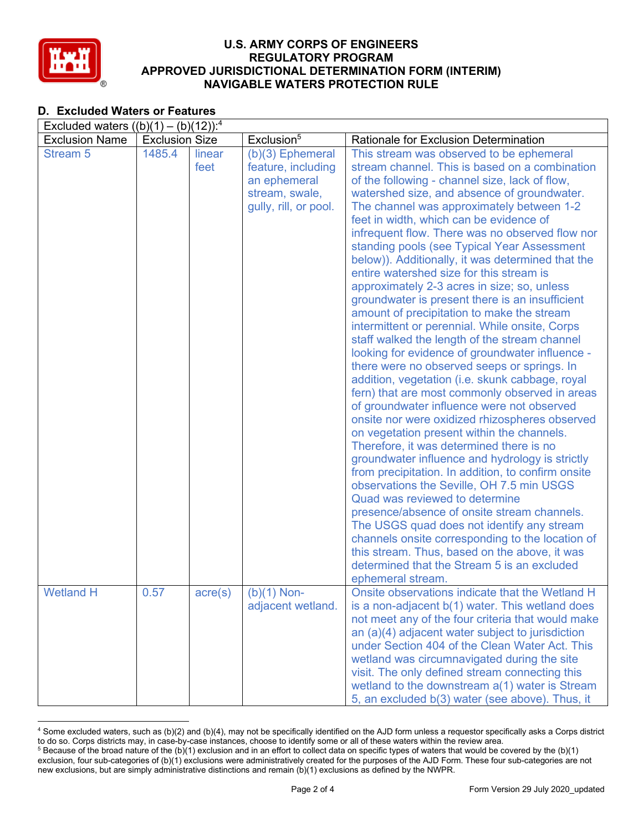

# **D. Excluded Waters or Features**

| Excluded waters $((b)(1) - (b)(12))$ : <sup>4</sup> |                       |                  |                        |                                                                                                |  |  |
|-----------------------------------------------------|-----------------------|------------------|------------------------|------------------------------------------------------------------------------------------------|--|--|
| <b>Exclusion Name</b>                               | <b>Exclusion Size</b> |                  | Exclusion <sup>5</sup> | Rationale for Exclusion Determination                                                          |  |  |
| <b>Stream 5</b>                                     | 1485.4                | linear           | (b)(3) Ephemeral       | This stream was observed to be ephemeral                                                       |  |  |
|                                                     |                       | feet             | feature, including     | stream channel. This is based on a combination                                                 |  |  |
|                                                     |                       |                  | an ephemeral           | of the following - channel size, lack of flow,                                                 |  |  |
|                                                     |                       |                  | stream, swale,         | watershed size, and absence of groundwater.                                                    |  |  |
|                                                     |                       |                  | gully, rill, or pool.  | The channel was approximately between 1-2                                                      |  |  |
|                                                     |                       |                  |                        | feet in width, which can be evidence of                                                        |  |  |
|                                                     |                       |                  |                        | infrequent flow. There was no observed flow nor                                                |  |  |
|                                                     |                       |                  |                        | standing pools (see Typical Year Assessment                                                    |  |  |
|                                                     |                       |                  |                        | below)). Additionally, it was determined that the                                              |  |  |
|                                                     |                       |                  |                        | entire watershed size for this stream is                                                       |  |  |
|                                                     |                       |                  |                        | approximately 2-3 acres in size; so, unless                                                    |  |  |
|                                                     |                       |                  |                        | groundwater is present there is an insufficient                                                |  |  |
|                                                     |                       |                  |                        | amount of precipitation to make the stream                                                     |  |  |
|                                                     |                       |                  |                        | intermittent or perennial. While onsite, Corps                                                 |  |  |
|                                                     |                       |                  |                        | staff walked the length of the stream channel                                                  |  |  |
|                                                     |                       |                  |                        | looking for evidence of groundwater influence -                                                |  |  |
|                                                     |                       |                  |                        | there were no observed seeps or springs. In<br>addition, vegetation (i.e. skunk cabbage, royal |  |  |
|                                                     |                       |                  |                        | fern) that are most commonly observed in areas                                                 |  |  |
|                                                     |                       |                  |                        | of groundwater influence were not observed                                                     |  |  |
|                                                     |                       |                  |                        | onsite nor were oxidized rhizospheres observed                                                 |  |  |
|                                                     |                       |                  |                        | on vegetation present within the channels.                                                     |  |  |
|                                                     |                       |                  |                        | Therefore, it was determined there is no                                                       |  |  |
|                                                     |                       |                  |                        | groundwater influence and hydrology is strictly                                                |  |  |
|                                                     |                       |                  |                        | from precipitation. In addition, to confirm onsite                                             |  |  |
|                                                     |                       |                  |                        | observations the Seville, OH 7.5 min USGS                                                      |  |  |
|                                                     |                       |                  |                        | Quad was reviewed to determine                                                                 |  |  |
|                                                     |                       |                  |                        | presence/absence of onsite stream channels.                                                    |  |  |
|                                                     |                       |                  |                        | The USGS quad does not identify any stream                                                     |  |  |
|                                                     |                       |                  |                        | channels onsite corresponding to the location of                                               |  |  |
|                                                     |                       |                  |                        | this stream. Thus, based on the above, it was                                                  |  |  |
|                                                     |                       |                  |                        | determined that the Stream 5 is an excluded                                                    |  |  |
|                                                     |                       |                  |                        | ephemeral stream.                                                                              |  |  |
| <b>Wetland H</b>                                    | 0.57                  | $\text{acre}(s)$ | $(b)(1)$ Non-          | Onsite observations indicate that the Wetland H                                                |  |  |
|                                                     |                       |                  | adjacent wetland.      | is a non-adjacent b(1) water. This wetland does                                                |  |  |
|                                                     |                       |                  |                        | not meet any of the four criteria that would make                                              |  |  |
|                                                     |                       |                  |                        | an (a)(4) adjacent water subject to jurisdiction                                               |  |  |
|                                                     |                       |                  |                        | under Section 404 of the Clean Water Act. This                                                 |  |  |
|                                                     |                       |                  |                        | wetland was circumnavigated during the site                                                    |  |  |
|                                                     |                       |                  |                        | visit. The only defined stream connecting this                                                 |  |  |
|                                                     |                       |                  |                        | wetland to the downstream a(1) water is Stream                                                 |  |  |
|                                                     |                       |                  |                        | 5, an excluded b(3) water (see above). Thus, it                                                |  |  |

<sup>4</sup> Some excluded waters, such as (b)(2) and (b)(4), may not be specifically identified on the AJD form unless a requestor specifically asks a Corps district to do so. Corps districts may, in case-by-case instances, choose to identify some or all of these waters within the review area.  $5$  Because of the broad nature of the (b)(1) exclusion and in an effort to collect data on specific types of waters that would be covered by the (b)(1)

exclusion, four sub-categories of (b)(1) exclusions were administratively created for the purposes of the AJD Form. These four sub-categories are not new exclusions, but are simply administrative distinctions and remain (b)(1) exclusions as defined by the NWPR.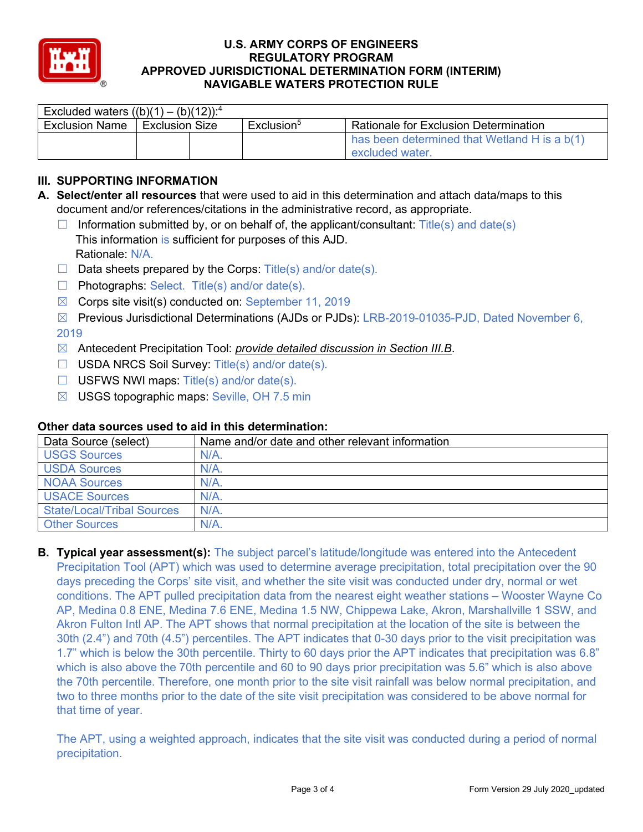

| Excluded waters $((b)(1) - (b)(12))$ : <sup>4</sup> |                       |  |                        |                                                                 |  |  |
|-----------------------------------------------------|-----------------------|--|------------------------|-----------------------------------------------------------------|--|--|
| <b>Exclusion Name</b>                               | <b>Exclusion Size</b> |  | Exclusion <sup>5</sup> | <b>Rationale for Exclusion Determination</b>                    |  |  |
|                                                     |                       |  |                        | has been determined that Wetland H is a b(1)<br>excluded water. |  |  |

# **III. SUPPORTING INFORMATION**

- **A. Select/enter all resources** that were used to aid in this determination and attach data/maps to this document and/or references/citations in the administrative record, as appropriate.
	- $\Box$  Information submitted by, or on behalf of, the applicant/consultant: Title(s) and date(s) This information is sufficient for purposes of this AJD. Rationale: N/A.
	- $\Box$  Data sheets prepared by the Corps: Title(s) and/or date(s).
	- ☐ Photographs: Select. Title(s) and/or date(s).
	- $\boxtimes$  Corps site visit(s) conducted on: September 11, 2019
	- ☒ Previous Jurisdictional Determinations (AJDs or PJDs): LRB-2019-01035-PJD, Dated November 6, 2019
	- ☒ Antecedent Precipitation Tool: *provide detailed discussion in Section III.B*.
	- ☐ USDA NRCS Soil Survey: Title(s) and/or date(s).
	- $\Box$  USFWS NWI maps: Title(s) and/or date(s).
	- ☒ USGS topographic maps: Seville, OH 7.5 min

| Data Source (select)              | Name and/or date and other relevant information |
|-----------------------------------|-------------------------------------------------|
| <b>USGS Sources</b>               | N/A                                             |
| <b>USDA Sources</b>               | $N/A$ .                                         |
| <b>NOAA Sources</b>               | $N/A$ .                                         |
| <b>USACE Sources</b>              | $N/A$ .                                         |
| <b>State/Local/Tribal Sources</b> | $N/A$ .                                         |
| <b>Other Sources</b>              | $N/A$ .                                         |

### **Other data sources used to aid in this determination:**

**B. Typical year assessment(s):** The subject parcel's latitude/longitude was entered into the Antecedent Precipitation Tool (APT) which was used to determine average precipitation, total precipitation over the 90 days preceding the Corps' site visit, and whether the site visit was conducted under dry, normal or wet conditions. The APT pulled precipitation data from the nearest eight weather stations – Wooster Wayne Co AP, Medina 0.8 ENE, Medina 7.6 ENE, Medina 1.5 NW, Chippewa Lake, Akron, Marshallville 1 SSW, and Akron Fulton Intl AP. The APT shows that normal precipitation at the location of the site is between the 30th (2.4") and 70th (4.5") percentiles. The APT indicates that 0-30 days prior to the visit precipitation was 1.7" which is below the 30th percentile. Thirty to 60 days prior the APT indicates that precipitation was 6.8" which is also above the 70th percentile and 60 to 90 days prior precipitation was 5.6" which is also above the 70th percentile. Therefore, one month prior to the site visit rainfall was below normal precipitation, and two to three months prior to the date of the site visit precipitation was considered to be above normal for that time of year.

The APT, using a weighted approach, indicates that the site visit was conducted during a period of normal precipitation.